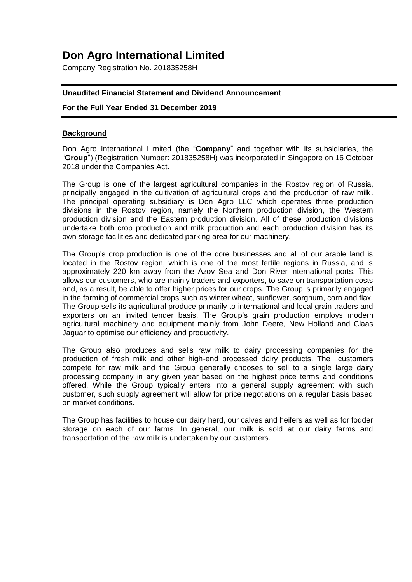# **Don Agro International Limited**

Company Registration No. 201835258H

## **Unaudited Financial Statement and Dividend Announcement**

## **For the Full Year Ended 31 December 2019**

#### **Background**

Don Agro International Limited (the "**Company**" and together with its subsidiaries, the "**Group**") (Registration Number: 201835258H) was incorporated in Singapore on 16 October 2018 under the Companies Act.

The Group is one of the largest agricultural companies in the Rostov region of Russia, principally engaged in the cultivation of agricultural crops and the production of raw milk. The principal operating subsidiary is Don Agro LLC which operates three production divisions in the Rostov region, namely the Northern production division, the Western production division and the Eastern production division. All of these production divisions undertake both crop production and milk production and each production division has its own storage facilities and dedicated parking area for our machinery.

The Group's crop production is one of the core businesses and all of our arable land is located in the Rostov region, which is one of the most fertile regions in Russia, and is approximately 220 km away from the Azov Sea and Don River international ports. This allows our customers, who are mainly traders and exporters, to save on transportation costs and, as a result, be able to offer higher prices for our crops. The Group is primarily engaged in the farming of commercial crops such as winter wheat, sunflower, sorghum, corn and flax. The Group sells its agricultural produce primarily to international and local grain traders and exporters on an invited tender basis. The Group's grain production employs modern agricultural machinery and equipment mainly from John Deere, New Holland and Claas Jaguar to optimise our efficiency and productivity.

The Group also produces and sells raw milk to dairy processing companies for the production of fresh milk and other high-end processed dairy products. The customers compete for raw milk and the Group generally chooses to sell to a single large dairy processing company in any given year based on the highest price terms and conditions offered. While the Group typically enters into a general supply agreement with such customer, such supply agreement will allow for price negotiations on a regular basis based on market conditions.

The Group has facilities to house our dairy herd, our calves and heifers as well as for fodder storage on each of our farms. In general, our milk is sold at our dairy farms and transportation of the raw milk is undertaken by our customers.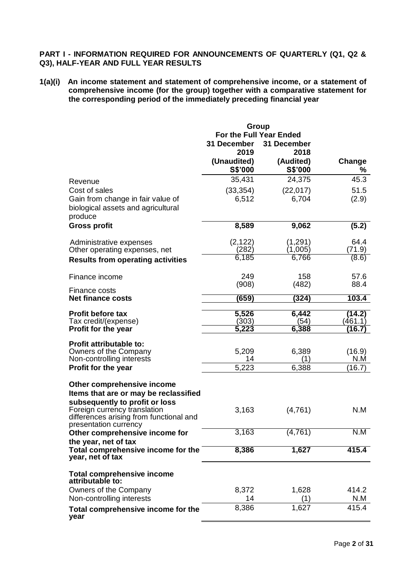## **PART I - INFORMATION REQUIRED FOR ANNOUNCEMENTS OF QUARTERLY (Q1, Q2 & Q3), HALF-YEAR AND FULL YEAR RESULTS**

**1(a)(i) An income statement and statement of comprehensive income, or a statement of comprehensive income (for the group) together with a comparative statement for the corresponding period of the immediately preceding financial year**

|                                                                | Group                   |             |         |
|----------------------------------------------------------------|-------------------------|-------------|---------|
|                                                                | For the Full Year Ended |             |         |
|                                                                | 31 December             | 31 December |         |
|                                                                | 2019                    | 2018        |         |
|                                                                | (Unaudited)             | (Audited)   | Change  |
|                                                                | S\$'000                 | S\$'000     | %       |
| Revenue                                                        | 35,431                  | 24,375      | 45.3    |
| Cost of sales                                                  | (33, 354)               | (22, 017)   | 51.5    |
| Gain from change in fair value of                              | 6,512                   | 6,704       | (2.9)   |
| biological assets and agricultural                             |                         |             |         |
| produce                                                        |                         |             |         |
| <b>Gross profit</b>                                            | 8,589                   | 9,062       | (5.2)   |
| Administrative expenses                                        | (2, 122)                | (1,291)     | 64.4    |
| Other operating expenses, net                                  | (282)                   | (1,005)     | (71.9)  |
| <b>Results from operating activities</b>                       | 6,185                   | 6,766       | (8.6)   |
| Finance income                                                 | 249                     | 158         | 57.6    |
|                                                                | (908)                   | (482)       | 88.4    |
| Finance costs                                                  |                         |             |         |
| <b>Net finance costs</b>                                       | (659)                   | (324)       | 103.4   |
| <b>Profit before tax</b>                                       | 5,526                   | 6,442       | (14.2)  |
| Tax credit/(expense)                                           | (303)                   | (54)        | (461.1) |
| <b>Profit for the year</b>                                     | 5,223                   | 6,388       | (16.7   |
| <b>Profit attributable to:</b>                                 |                         |             |         |
| Owners of the Company                                          | 5,209                   | 6,389       | (16.9)  |
| Non-controlling interests                                      | 14                      | (1)         | N.M     |
| Profit for the year                                            | 5,223                   | 6,388       | (16.7)  |
|                                                                |                         |             |         |
| Other comprehensive income                                     |                         |             |         |
| Items that are or may be reclassified                          |                         |             |         |
| subsequently to profit or loss<br>Foreign currency translation | 3,163                   | (4,761)     | N.M     |
| differences arising from functional and                        |                         |             |         |
| presentation currency                                          |                         |             |         |
| Other comprehensive income for                                 | 3,163                   | (4, 761)    | N.M     |
| the year, net of tax                                           |                         |             |         |
| Total comprehensive income for the<br>year, net of tax         | 8,386                   | 1,627       | 415.4   |
|                                                                |                         |             |         |
| <b>Total comprehensive income</b>                              |                         |             |         |
| attributable to:                                               |                         |             | 414.2   |
| Owners of the Company                                          | 8,372                   | 1,628       |         |
| Non-controlling interests                                      | 14                      | (1)         | N.M     |
| Total comprehensive income for the<br>year                     | 8,386                   | 1,627       | 415.4   |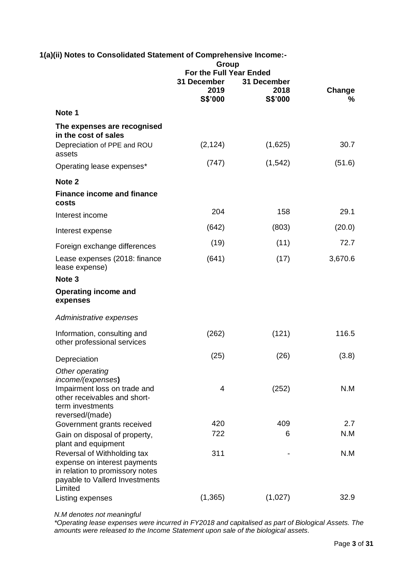| 1(a)(ii) Notes to Consolidated Statement of Comprehensive Income:-                                                                                      | Group<br>For the Full Year Ended |                                |             |
|---------------------------------------------------------------------------------------------------------------------------------------------------------|----------------------------------|--------------------------------|-------------|
|                                                                                                                                                         | 31 December<br>2019<br>S\$'000   | 31 December<br>2018<br>S\$'000 | Change<br>℅ |
| Note 1                                                                                                                                                  |                                  |                                |             |
| The expenses are recognised                                                                                                                             |                                  |                                |             |
| in the cost of sales<br>Depreciation of PPE and ROU<br>assets                                                                                           | (2, 124)                         | (1,625)                        | 30.7        |
| Operating lease expenses*                                                                                                                               | (747)                            | (1, 542)                       | (51.6)      |
| Note <sub>2</sub>                                                                                                                                       |                                  |                                |             |
| <b>Finance income and finance</b><br>costs                                                                                                              |                                  |                                |             |
| Interest income                                                                                                                                         | 204                              | 158                            | 29.1        |
| Interest expense                                                                                                                                        | (642)                            | (803)                          | (20.0)      |
| Foreign exchange differences                                                                                                                            | (19)                             | (11)                           | 72.7        |
| Lease expenses (2018: finance<br>lease expense)                                                                                                         | (641)                            | (17)                           | 3,670.6     |
| Note <sub>3</sub>                                                                                                                                       |                                  |                                |             |
| <b>Operating income and</b><br>expenses                                                                                                                 |                                  |                                |             |
| Administrative expenses                                                                                                                                 |                                  |                                |             |
| Information, consulting and<br>other professional services                                                                                              | (262)                            | (121)                          | 116.5       |
| Depreciation                                                                                                                                            | (25)                             | (26)                           | (3.8)       |
| Other operating                                                                                                                                         |                                  |                                |             |
| income/(expenses)<br>Impairment loss on trade and<br>other receivables and short-<br>term investments                                                   | 4                                | (252)                          | N.M         |
| reversed/(made)<br>Government grants received                                                                                                           | 420                              | 409                            | 2.7         |
| Gain on disposal of property,                                                                                                                           | 722                              | 6                              | N.M         |
| plant and equipment<br>Reversal of Withholding tax<br>expense on interest payments<br>in relation to promissory notes<br>payable to Vallerd Investments | 311                              |                                | N.M         |
| Limited<br>Listing expenses                                                                                                                             | (1, 365)                         | (1,027)                        | 32.9        |

*N.M denotes not meaningful*

*\*Operating lease expenses were incurred in FY2018 and capitalised as part of Biological Assets. The amounts were released to the Income Statement upon sale of the biological assets.*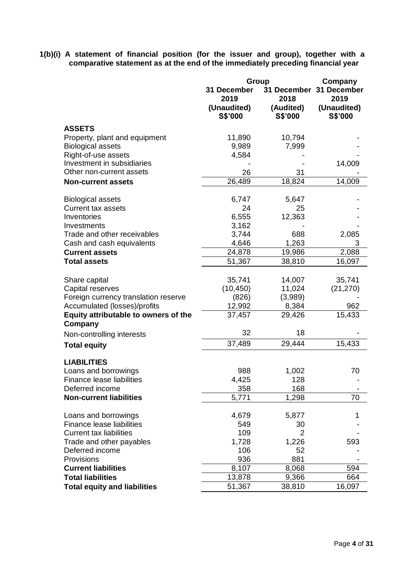**1(b)(i) A statement of financial position (for the issuer and group), together with a comparative statement as at the end of the immediately preceding financial year**

|                                      |             | Group     | Company                 |
|--------------------------------------|-------------|-----------|-------------------------|
|                                      | 31 December |           | 31 December 31 December |
|                                      | 2019        | 2018      | 2019                    |
|                                      | (Unaudited) | (Audited) | (Unaudited)             |
|                                      | S\$'000     | S\$'000   | S\$'000                 |
| <b>ASSETS</b>                        |             |           |                         |
| Property, plant and equipment        | 11,890      | 10,794    |                         |
| <b>Biological assets</b>             | 9,989       | 7,999     |                         |
| Right-of-use assets                  | 4,584       |           |                         |
| Investment in subsidiaries           |             |           | 14,009                  |
| Other non-current assets             | 26          | 31        |                         |
| <b>Non-current assets</b>            | 26,489      | 18,824    | 14,009                  |
|                                      |             |           |                         |
| <b>Biological assets</b>             | 6,747       | 5,647     |                         |
| <b>Current tax assets</b>            | 24          | 25        |                         |
| Inventories                          | 6,555       | 12,363    |                         |
| Investments                          | 3,162       |           |                         |
| Trade and other receivables          | 3,744       | 688       | 2,085                   |
| Cash and cash equivalents            | 4,646       | 1,263     | 3                       |
| <b>Current assets</b>                | 24,878      | 19,986    | 2,088                   |
| <b>Total assets</b>                  | 51,367      | 38,810    | 16,097                  |
|                                      |             |           |                         |
| Share capital                        | 35,741      | 14,007    | 35,741                  |
| Capital reserves                     | (10, 450)   | 11,024    | (21, 270)               |
| Foreign currency translation reserve | (826)       | (3,989)   |                         |
| Accumulated (losses)/profits         | 12,992      | 8,384     | 962                     |
| Equity attributable to owners of the | 37,457      | 29,426    | 15,433                  |
| Company                              | 32          | 18        |                         |
| Non-controlling interests            |             |           |                         |
| <b>Total equity</b>                  | 37,489      | 29,444    | 15,433                  |
| <b>LIABILITIES</b>                   |             |           |                         |
| Loans and borrowings                 | 988         | 1,002     | 70                      |
| Finance lease liabilities            | 4,425       | 128       |                         |
| Deferred income                      | 358         | 168       |                         |
| <b>Non-current liabilities</b>       | 5,771       | 1,298     | 70                      |
|                                      |             |           |                         |
| Loans and borrowings                 | 4,679       | 5,877     | 1                       |
| Finance lease liabilities            | 549         | 30        |                         |
| <b>Current tax liabilities</b>       | 109         | 2         |                         |
| Trade and other payables             | 1,728       | 1,226     | 593                     |
| Deferred income                      | 106         | 52        |                         |
| Provisions                           | 936         | 881       |                         |
| <b>Current liabilities</b>           | 8,107       | 8,068     | 594                     |
| <b>Total liabilities</b>             | 13,878      | 9,366     | 664                     |
| <b>Total equity and liabilities</b>  | 51,367      | 38,810    | 16,097                  |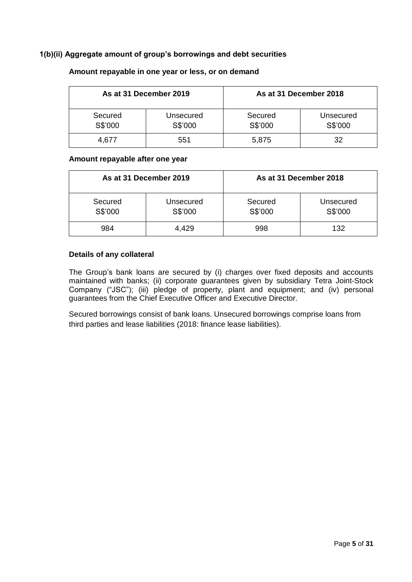## **1(b)(ii) Aggregate amount of group's borrowings and debt securities**

| As at 31 December 2019 |                      |                    | As at 31 December 2018 |
|------------------------|----------------------|--------------------|------------------------|
| Secured<br>S\$'000     | Unsecured<br>S\$'000 | Secured<br>S\$'000 | Unsecured<br>S\$'000   |
| 4.677                  | 551                  | 5,875              | 32                     |

#### **Amount repayable in one year or less, or on demand**

#### **Amount repayable after one year**

| As at 31 December 2019 |                      |                    | As at 31 December 2018 |
|------------------------|----------------------|--------------------|------------------------|
| Secured<br>S\$'000     | Unsecured<br>S\$'000 | Secured<br>S\$'000 | Unsecured<br>S\$'000   |
| 984                    | 4,429                | 998                | 132                    |

#### **Details of any collateral**

The Group's bank loans are secured by (i) charges over fixed deposits and accounts maintained with banks; (ii) corporate guarantees given by subsidiary Tetra Joint-Stock Company ("JSC"); (iii) pledge of property, plant and equipment; and (iv) personal guarantees from the Chief Executive Officer and Executive Director.

Secured borrowings consist of bank loans. Unsecured borrowings comprise loans from third parties and lease liabilities (2018: finance lease liabilities).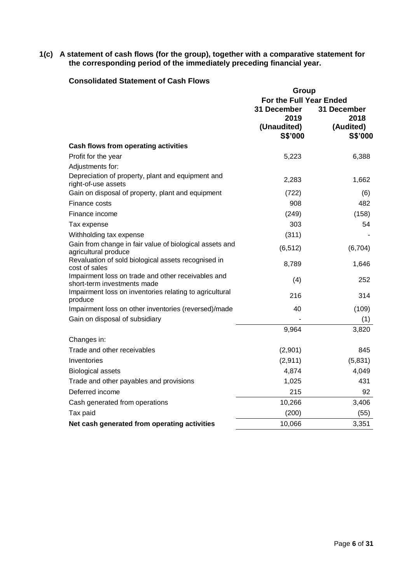#### **1(c) A statement of cash flows (for the group), together with a comparative statement for the corresponding period of the immediately preceding financial year.**

## **Consolidated Statement of Cash Flows**

|                                                                                   | Group                   |             |  |
|-----------------------------------------------------------------------------------|-------------------------|-------------|--|
|                                                                                   | For the Full Year Ended |             |  |
|                                                                                   | 31 December             | 31 December |  |
|                                                                                   | 2019                    | 2018        |  |
|                                                                                   | (Unaudited)             | (Audited)   |  |
|                                                                                   | S\$'000                 | S\$'000     |  |
| <b>Cash flows from operating activities</b>                                       |                         |             |  |
| Profit for the year                                                               | 5,223                   | 6,388       |  |
| Adjustments for:                                                                  |                         |             |  |
| Depreciation of property, plant and equipment and<br>right-of-use assets          | 2,283                   | 1,662       |  |
| Gain on disposal of property, plant and equipment                                 | (722)                   | (6)         |  |
| Finance costs                                                                     | 908                     | 482         |  |
| Finance income                                                                    | (249)                   | (158)       |  |
| Tax expense                                                                       | 303                     | 54          |  |
| Withholding tax expense                                                           | (311)                   |             |  |
| Gain from change in fair value of biological assets and<br>agricultural produce   | (6, 512)                | (6,704)     |  |
| Revaluation of sold biological assets recognised in<br>cost of sales              | 8,789                   | 1,646       |  |
| Impairment loss on trade and other receivables and<br>short-term investments made | (4)                     | 252         |  |
| Impairment loss on inventories relating to agricultural<br>produce                | 216                     | 314         |  |
| Impairment loss on other inventories (reversed)/made                              | 40                      | (109)       |  |
| Gain on disposal of subsidiary                                                    |                         | (1)         |  |
|                                                                                   | 9,964                   | 3,820       |  |
| Changes in:                                                                       |                         |             |  |
| Trade and other receivables                                                       | (2,901)                 | 845         |  |
| Inventories                                                                       | (2,911)                 | (5,831)     |  |
| <b>Biological assets</b>                                                          | 4,874                   | 4,049       |  |
| Trade and other payables and provisions                                           | 1,025                   | 431         |  |
| Deferred income                                                                   | 215                     | 92          |  |
| Cash generated from operations                                                    | 10,266                  | 3,406       |  |
| Tax paid                                                                          | (200)                   | (55)        |  |
| Net cash generated from operating activities                                      | 10,066                  | 3,351       |  |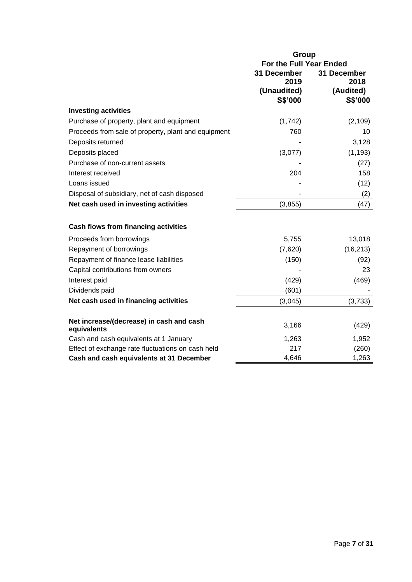|                                                         | <b>Group</b>            |             |  |
|---------------------------------------------------------|-------------------------|-------------|--|
|                                                         | For the Full Year Ended |             |  |
|                                                         | 31 December             | 31 December |  |
|                                                         | 2019                    | 2018        |  |
|                                                         | (Unaudited)             | (Audited)   |  |
|                                                         | S\$'000                 | S\$'000     |  |
| <b>Investing activities</b>                             |                         |             |  |
| Purchase of property, plant and equipment               | (1,742)                 | (2, 109)    |  |
| Proceeds from sale of property, plant and equipment     | 760                     | 10          |  |
| Deposits returned                                       |                         | 3,128       |  |
| Deposits placed                                         | (3,077)                 | (1, 193)    |  |
| Purchase of non-current assets                          |                         | (27)        |  |
| Interest received                                       | 204                     | 158         |  |
| Loans issued                                            |                         | (12)        |  |
| Disposal of subsidiary, net of cash disposed            |                         | (2)         |  |
| Net cash used in investing activities                   | (3, 855)                | (47)        |  |
|                                                         |                         |             |  |
| <b>Cash flows from financing activities</b>             |                         |             |  |
| Proceeds from borrowings                                | 5,755                   | 13,018      |  |
| Repayment of borrowings                                 | (7,620)                 | (16, 213)   |  |
| Repayment of finance lease liabilities                  | (150)                   | (92)        |  |
| Capital contributions from owners                       |                         | 23          |  |
| Interest paid                                           | (429)                   | (469)       |  |
| Dividends paid                                          | (601)                   |             |  |
| Net cash used in financing activities                   | (3,045)                 | (3,733)     |  |
|                                                         |                         |             |  |
| Net increase/(decrease) in cash and cash<br>equivalents | 3,166                   | (429)       |  |
| Cash and cash equivalents at 1 January                  | 1,263                   | 1,952       |  |
| Effect of exchange rate fluctuations on cash held       | 217                     | (260)       |  |
| Cash and cash equivalents at 31 December                | 4,646                   | 1,263       |  |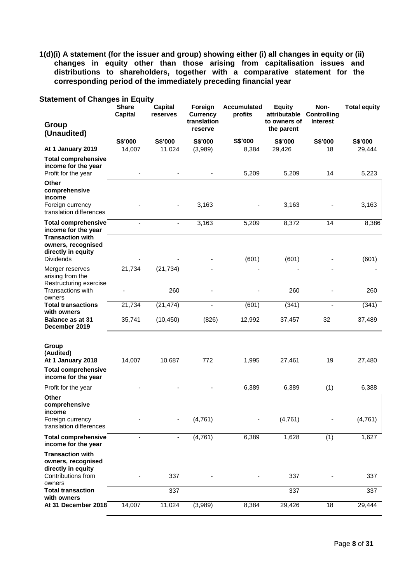**1(d)(i) A statement (for the issuer and group) showing either (i) all changes in equity or (ii) changes in equity other than those arising from capitalisation issues and distributions to shareholders, together with a comparative statement for the corresponding period of the immediately preceding financial year**

| <b>Statement of Changes in Equity</b><br>Group                                                                 | <b>Share</b><br><b>Capital</b> | <b>Capital</b><br>reserves | Foreign<br><b>Currency</b><br>translation | <b>Accumulated</b><br>profits | <b>Equity</b><br>attributable<br>to owners of | Non-<br><b>Controlling</b><br><b>Interest</b> | <b>Total equity</b> |
|----------------------------------------------------------------------------------------------------------------|--------------------------------|----------------------------|-------------------------------------------|-------------------------------|-----------------------------------------------|-----------------------------------------------|---------------------|
| (Unaudited)                                                                                                    |                                |                            | reserve                                   |                               | the parent                                    |                                               |                     |
| At 1 January 2019                                                                                              | S\$'000<br>14,007              | S\$'000<br>11,024          | S\$'000<br>(3,989)                        | S\$'000<br>8,384              | S\$'000<br>29,426                             | S\$'000<br>18                                 | S\$'000<br>29,444   |
| <b>Total comprehensive</b><br>income for the year<br>Profit for the year                                       |                                |                            |                                           | 5,209                         | 5,209                                         | 14                                            | 5,223               |
| <b>Other</b><br>comprehensive<br>income<br>Foreign currency<br>translation differences                         |                                | ÷,                         | 3,163                                     |                               | 3,163                                         |                                               | 3,163               |
| <b>Total comprehensive</b>                                                                                     |                                |                            | 3,163                                     | $\overline{5,209}$            | 8,372                                         | 14                                            | 8,386               |
| income for the year<br><b>Transaction with</b><br>owners, recognised<br>directly in equity<br><b>Dividends</b> |                                |                            |                                           | (601)                         | (601)                                         |                                               | (601)               |
| Merger reserves<br>arising from the<br>Restructuring exercise                                                  | 21,734                         | (21, 734)                  |                                           |                               |                                               |                                               |                     |
| <b>Transactions with</b><br>owners                                                                             |                                | 260                        |                                           |                               | 260                                           |                                               | 260                 |
| <b>Total transactions</b><br>with owners                                                                       | 21,734                         | (21, 474)                  |                                           | (601)                         | (341)                                         |                                               | (341)               |
| <b>Balance as at 31</b><br>December 2019                                                                       | 35,741                         | (10, 450)                  | (826)                                     | 12,992                        | 37,457                                        | 32                                            | 37,489              |
| Group<br>(Audited)<br>At 1 January 2018<br><b>Total comprehensive</b>                                          | 14,007                         | 10,687                     | 772                                       | 1,995                         | 27,461                                        | 19                                            | 27,480              |
| income for the year                                                                                            |                                |                            |                                           |                               |                                               |                                               |                     |
| Profit for the year                                                                                            |                                |                            |                                           | 6,389                         | 6,389                                         | (1)                                           | 6,388               |
| Other<br>comprehensive<br>income<br>Foreign currency<br>translation differences                                |                                | $\overline{\phantom{a}}$   | (4,761)                                   |                               | (4,761)                                       |                                               | (4,761)             |
| <b>Total comprehensive</b><br>income for the year                                                              | ÷.                             | $\blacksquare$             | (4, 761)                                  | 6,389                         | 1,628                                         | (1)                                           | 1,627               |
| <b>Transaction with</b><br>owners, recognised<br>directly in equity<br>Contributions from<br>owners            |                                | 337                        |                                           |                               | 337                                           |                                               | 337                 |
| <b>Total transaction</b>                                                                                       |                                | 337                        |                                           |                               | 337                                           |                                               | 337                 |
| with owners<br>At 31 December 2018                                                                             | 14,007                         | 11,024                     | (3,989)                                   | 8,384                         | 29,426                                        | 18                                            | 29,444              |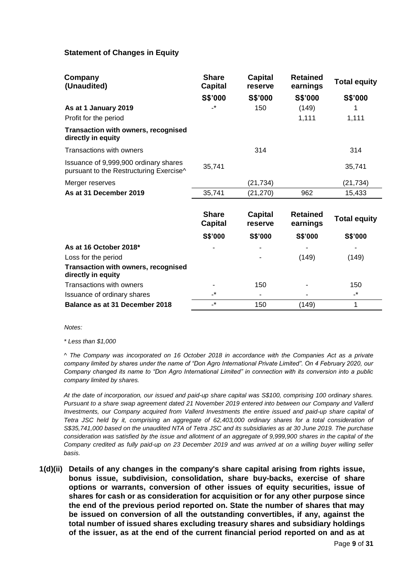#### **Statement of Changes in Equity**

| Company<br>(Unaudited)                                                           | <b>Share</b><br><b>Capital</b> | <b>Capital</b><br>reserve | <b>Retained</b><br>earnings | <b>Total equity</b> |
|----------------------------------------------------------------------------------|--------------------------------|---------------------------|-----------------------------|---------------------|
|                                                                                  | S\$'000                        | S\$'000                   | S\$'000                     | S\$'000             |
| As at 1 January 2019                                                             | $\cdot^{\star}$                | 150                       | (149)                       | 1                   |
| Profit for the period                                                            |                                |                           | 1,111                       | 1,111               |
| Transaction with owners, recognised<br>directly in equity                        |                                |                           |                             |                     |
| <b>Transactions with owners</b>                                                  |                                | 314                       |                             | 314                 |
| Issuance of 9,999,900 ordinary shares<br>pursuant to the Restructuring Exercise^ | 35,741                         |                           |                             | 35,741              |
| Merger reserves                                                                  |                                | (21, 734)                 |                             | (21, 734)           |
| As at 31 December 2019                                                           | 35,741                         | (21, 270)                 | 962                         | 15,433              |
|                                                                                  |                                |                           |                             |                     |
|                                                                                  | <b>Share</b><br><b>Capital</b> | <b>Capital</b><br>reserve | <b>Retained</b><br>earnings | <b>Total equity</b> |
|                                                                                  | S\$'000                        | S\$'000                   | S\$'000                     | <b>S\$'000</b>      |
| As at 16 October 2018*                                                           |                                |                           |                             |                     |
| Loss for the period                                                              |                                |                           | (149)                       | (149)               |
| <b>Transaction with owners, recognised</b><br>directly in equity                 |                                |                           |                             |                     |
| Transactions with owners                                                         |                                | 150                       |                             | 150                 |
| Issuance of ordinary shares                                                      | _*_                            |                           |                             | $\cdot^*$           |
| Balance as at 31 December 2018                                                   | $\cdot^{\star}$                | 150                       | (149)                       | 1                   |

*Notes:*

*\* Less than \$1,000*

*^ The Company was incorporated on 16 October 2018 in accordance with the Companies Act as a private company limited by shares under the name of "Don Agro International Private Limited". On 4 February 2020, our Company changed its name to "Don Agro International Limited" in connection with its conversion into a public company limited by shares.*

*At the date of incorporation, our issued and paid-up share capital was S\$100, comprising 100 ordinary shares. Pursuant to a share swap agreement dated 21 November 2019 entered into between our Company and Vallerd Investments, our Company acquired from Vallerd Investments the entire issued and paid-up share capital of Tetra JSC held by it, comprising an aggregate of 62,403,000 ordinary shares for a total consideration of S\$35,741,000 based on the unaudited NTA of Tetra JSC and its subsidiaries as at 30 June 2019. The purchase consideration was satisfied by the issue and allotment of an aggregate of 9,999,900 shares in the capital of the Company credited as fully paid-up on 23 December 2019 and was arrived at on a willing buyer willing seller basis.*

**1(d)(ii) Details of any changes in the company's share capital arising from rights issue, bonus issue, subdivision, consolidation, share buy-backs, exercise of share options or warrants, conversion of other issues of equity securities, issue of shares for cash or as consideration for acquisition or for any other purpose since the end of the previous period reported on. State the number of shares that may be issued on conversion of all the outstanding convertibles, if any, against the total number of issued shares excluding treasury shares and subsidiary holdings of the issuer, as at the end of the current financial period reported on and as at**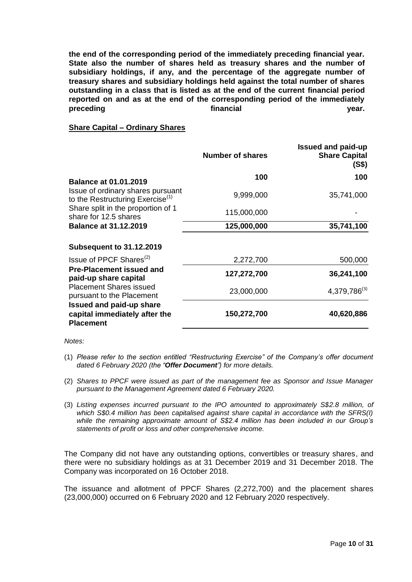**the end of the corresponding period of the immediately preceding financial year. State also the number of shares held as treasury shares and the number of subsidiary holdings, if any, and the percentage of the aggregate number of treasury shares and subsidiary holdings held against the total number of shares outstanding in a class that is listed as at the end of the current financial period reported on and as at the end of the corresponding period of the immediately preceding financial year.**

## **Share Capital – Ordinary Shares**

|                                                                                      | Number of shares | <b>Issued and paid-up</b><br><b>Share Capital</b><br>(S\$) |
|--------------------------------------------------------------------------------------|------------------|------------------------------------------------------------|
| <b>Balance at 01.01.2019</b>                                                         | 100              | 100                                                        |
| Issue of ordinary shares pursuant<br>to the Restructuring Exercise $(1)$             | 9,999,000        | 35,741,000                                                 |
| Share split in the proportion of 1<br>share for 12.5 shares                          | 115,000,000      |                                                            |
| <b>Balance at 31.12.2019</b>                                                         | 125,000,000      | 35,741,100                                                 |
| <b>Subsequent to 31.12.2019</b>                                                      |                  |                                                            |
| Issue of PPCF Shares <sup>(2)</sup>                                                  | 2,272,700        | 500,000                                                    |
| <b>Pre-Placement issued and</b><br>paid-up share capital                             | 127,272,700      | 36,241,100                                                 |
| <b>Placement Shares issued</b><br>pursuant to the Placement                          | 23,000,000       | $4,379,786^{(3)}$                                          |
| <b>Issued and paid-up share</b><br>capital immediately after the<br><b>Placement</b> | 150,272,700      | 40,620,886                                                 |

*Notes:*

- (1) *Please refer to the section entitled "Restructuring Exercise" of the Company's offer document dated 6 February 2020 (the "Offer Document") for more details.*
- (2) *Shares to PPCF were issued as part of the management fee as Sponsor and Issue Manager pursuant to the Management Agreement dated 6 February 2020.*
- (3) *Listing expenses incurred pursuant to the IPO amounted to approximately S\$2.8 million, of which S\$0.4 million has been capitalised against share capital in accordance with the SFRS(I) while the remaining approximate amount of S\$2.4 million has been included in our Group's statements of profit or loss and other comprehensive income.*

The Company did not have any outstanding options, convertibles or treasury shares, and there were no subsidiary holdings as at 31 December 2019 and 31 December 2018. The Company was incorporated on 16 October 2018.

The issuance and allotment of PPCF Shares (2,272,700) and the placement shares (23,000,000) occurred on 6 February 2020 and 12 February 2020 respectively.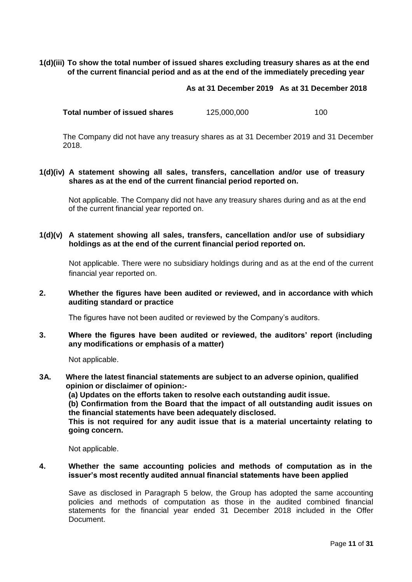## **1(d)(iii) To show the total number of issued shares excluding treasury shares as at the end of the current financial period and as at the end of the immediately preceding year**

**As at 31 December 2019 As at 31 December 2018**

| Total number of issued shares | 125,000,000 | 100 |
|-------------------------------|-------------|-----|
|-------------------------------|-------------|-----|

The Company did not have any treasury shares as at 31 December 2019 and 31 December 2018.

## **1(d)(iv) A statement showing all sales, transfers, cancellation and/or use of treasury shares as at the end of the current financial period reported on.**

Not applicable. The Company did not have any treasury shares during and as at the end of the current financial year reported on.

**1(d)(v) A statement showing all sales, transfers, cancellation and/or use of subsidiary holdings as at the end of the current financial period reported on.**

Not applicable. There were no subsidiary holdings during and as at the end of the current financial year reported on.

**2. Whether the figures have been audited or reviewed, and in accordance with which auditing standard or practice** 

The figures have not been audited or reviewed by the Company's auditors.

**3. Where the figures have been audited or reviewed, the auditors' report (including any modifications or emphasis of a matter)** 

Not applicable.

**3A. Where the latest financial statements are subject to an adverse opinion, qualified opinion or disclaimer of opinion:- (a) Updates on the efforts taken to resolve each outstanding audit issue.** 

**(b) Confirmation from the Board that the impact of all outstanding audit issues on the financial statements have been adequately disclosed.** 

**This is not required for any audit issue that is a material uncertainty relating to going concern.**

Not applicable.

#### **4. Whether the same accounting policies and methods of computation as in the issuer's most recently audited annual financial statements have been applied**

Save as disclosed in Paragraph 5 below, the Group has adopted the same accounting policies and methods of computation as those in the audited combined financial statements for the financial year ended 31 December 2018 included in the Offer Document.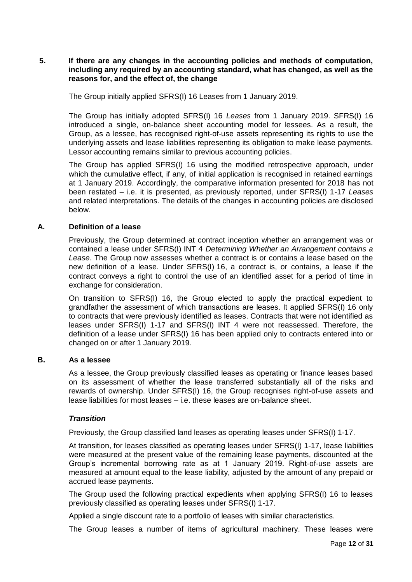### **5. If there are any changes in the accounting policies and methods of computation, including any required by an accounting standard, what has changed, as well as the reasons for, and the effect of, the change**

The Group initially applied SFRS(I) 16 Leases from 1 January 2019.

The Group has initially adopted SFRS(I) 16 *Leases* from 1 January 2019. SFRS(I) 16 introduced a single, on-balance sheet accounting model for lessees. As a result, the Group, as a lessee, has recognised right-of-use assets representing its rights to use the underlying assets and lease liabilities representing its obligation to make lease payments. Lessor accounting remains similar to previous accounting policies.

The Group has applied SFRS(I) 16 using the modified retrospective approach, under which the cumulative effect, if any, of initial application is recognised in retained earnings at 1 January 2019. Accordingly, the comparative information presented for 2018 has not been restated – i.e. it is presented, as previously reported, under SFRS(I) 1-17 *Leases* and related interpretations. The details of the changes in accounting policies are disclosed below.

#### **A. Definition of a lease**

Previously, the Group determined at contract inception whether an arrangement was or contained a lease under SFRS(I) INT 4 *Determining Whether an Arrangement contains a Lease*. The Group now assesses whether a contract is or contains a lease based on the new definition of a lease. Under SFRS(I) 16, a contract is, or contains, a lease if the contract conveys a right to control the use of an identified asset for a period of time in exchange for consideration.

On transition to SFRS(I) 16, the Group elected to apply the practical expedient to grandfather the assessment of which transactions are leases. It applied SFRS(I) 16 only to contracts that were previously identified as leases. Contracts that were not identified as leases under SFRS(I) 1-17 and SFRS(I) INT 4 were not reassessed. Therefore, the definition of a lease under SFRS(I) 16 has been applied only to contracts entered into or changed on or after 1 January 2019.

#### **B. As a lessee**

As a lessee, the Group previously classified leases as operating or finance leases based on its assessment of whether the lease transferred substantially all of the risks and rewards of ownership. Under SFRS(I) 16, the Group recognises right-of-use assets and lease liabilities for most leases – i.e. these leases are on-balance sheet.

#### *Transition*

Previously, the Group classified land leases as operating leases under SFRS(I) 1-17.

At transition, for leases classified as operating leases under SFRS(I) 1-17, lease liabilities were measured at the present value of the remaining lease payments, discounted at the Group's incremental borrowing rate as at 1 January 2019. Right-of-use assets are measured at amount equal to the lease liability, adjusted by the amount of any prepaid or accrued lease payments.

The Group used the following practical expedients when applying SFRS(I) 16 to leases previously classified as operating leases under SFRS(I) 1-17.

Applied a single discount rate to a portfolio of leases with similar characteristics.

The Group leases a number of items of agricultural machinery. These leases were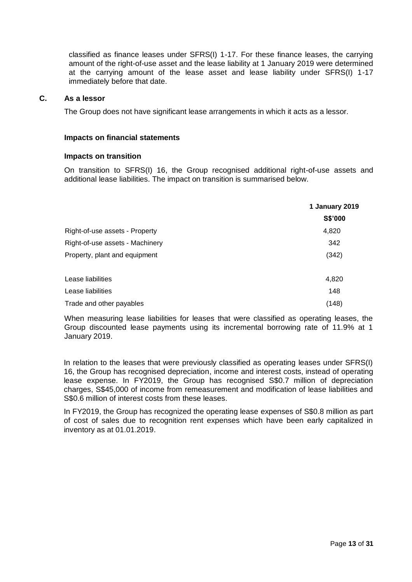classified as finance leases under SFRS(I) 1-17. For these finance leases, the carrying amount of the right-of-use asset and the lease liability at 1 January 2019 were determined at the carrying amount of the lease asset and lease liability under SFRS(I) 1-17 immediately before that date.

#### **C. As a lessor**

The Group does not have significant lease arrangements in which it acts as a lessor.

#### **Impacts on financial statements**

#### **Impacts on transition**

On transition to SFRS(I) 16, the Group recognised additional right-of-use assets and additional lease liabilities. The impact on transition is summarised below.

|                                 | 1 January 2019 |
|---------------------------------|----------------|
|                                 | S\$'000        |
| Right-of-use assets - Property  | 4,820          |
| Right-of-use assets - Machinery | 342            |
| Property, plant and equipment   | (342)          |
| Lease liabilities               | 4,820          |
| Lease liabilities               | 148            |
| Trade and other payables        | (148)          |

When measuring lease liabilities for leases that were classified as operating leases, the Group discounted lease payments using its incremental borrowing rate of 11.9% at 1 January 2019.

In relation to the leases that were previously classified as operating leases under SFRS(I) 16, the Group has recognised depreciation, income and interest costs, instead of operating lease expense. In FY2019, the Group has recognised S\$0.7 million of depreciation charges, S\$45,000 of income from remeasurement and modification of lease liabilities and S\$0.6 million of interest costs from these leases.

In FY2019, the Group has recognized the operating lease expenses of S\$0.8 million as part of cost of sales due to recognition rent expenses which have been early capitalized in inventory as at 01.01.2019.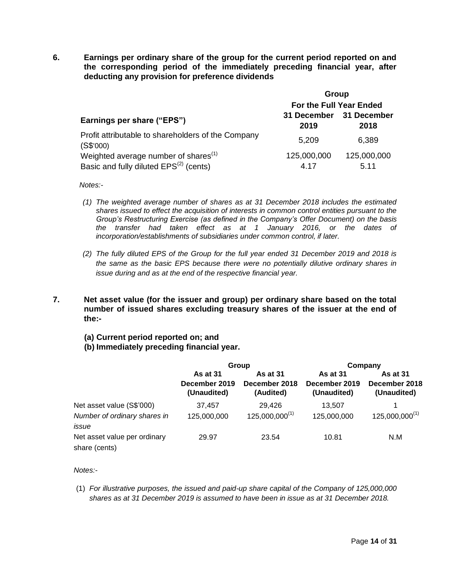**6. Earnings per ordinary share of the group for the current period reported on and the corresponding period of the immediately preceding financial year, after deducting any provision for preference dividends** 

|                                                                 | Group                           |             |  |
|-----------------------------------------------------------------|---------------------------------|-------------|--|
|                                                                 | For the Full Year Ended         |             |  |
| Earnings per share ("EPS")                                      | 31 December 31 December<br>2019 | 2018        |  |
| Profit attributable to shareholders of the Company<br>(S\$'000) | 5,209                           | 6,389       |  |
| Weighted average number of shares <sup>(1)</sup>                | 125,000,000                     | 125,000,000 |  |
| Basic and fully diluted EPS <sup>(2)</sup> (cents)              | 4.17                            | 5.11        |  |

*Notes:-*

- *(1) The weighted average number of shares as at 31 December 2018 includes the estimated shares issued to effect the acquisition of interests in common control entities pursuant to the Group's Restructuring Exercise (as defined in the Company's Offer Document) on the basis the transfer had taken effect as at 1 January 2016, or the dates of incorporation/establishments of subsidiaries under common control, if later.*
- *(2) The fully diluted EPS of the Group for the full year ended 31 December 2019 and 2018 is the same as the basic EPS because there were no potentially dilutive ordinary shares in issue during and as at the end of the respective financial year.*
- **7. Net asset value (for the issuer and group) per ordinary share based on the total number of issued shares excluding treasury shares of the issuer at the end of the:-**
	- **(a) Current period reported on; and**
	- **(b) Immediately preceding financial year.**

|                                                                    | Group                                           |                                               | Company                                         |                                                 |
|--------------------------------------------------------------------|-------------------------------------------------|-----------------------------------------------|-------------------------------------------------|-------------------------------------------------|
|                                                                    | <b>As at 31</b><br>December 2019<br>(Unaudited) | <b>As at 31</b><br>December 2018<br>(Audited) | <b>As at 31</b><br>December 2019<br>(Unaudited) | <b>As at 31</b><br>December 2018<br>(Unaudited) |
| Net asset value (S\$'000)<br>Number of ordinary shares in<br>issue | 37,457<br>125,000,000                           | 29,426<br>$125,000,000^{(1)}$                 | 13,507<br>125,000,000                           | $125,000,000^{(1)}$                             |
| Net asset value per ordinary<br>share (cents)                      | 29.97                                           | 23.54                                         | 10.81                                           | N.M                                             |

*Notes:-*

(1) *For illustrative purposes, the issued and paid-up share capital of the Company of 125,000,000 shares as at 31 December 2019 is assumed to have been in issue as at 31 December 2018.*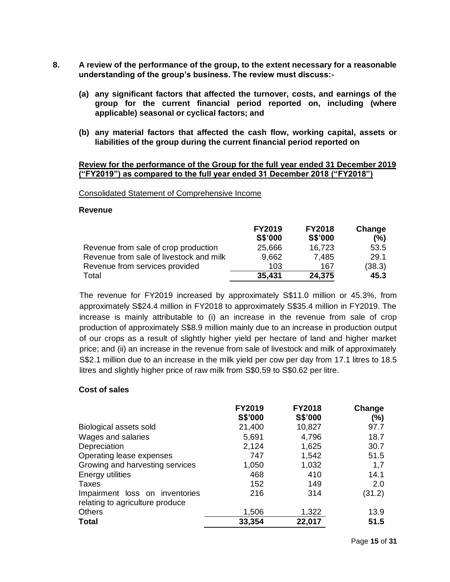- **8. A review of the performance of the group, to the extent necessary for a reasonable understanding of the group's business. The review must discuss:-**
	- **(a) any significant factors that affected the turnover, costs, and earnings of the group for the current financial period reported on, including (where applicable) seasonal or cyclical factors; and**
	- **(b) any material factors that affected the cash flow, working capital, assets or liabilities of the group during the current financial period reported on**

#### **Review for the performance of the Group for the full year ended 31 December 2019 ("FY2019") as compared to the full year ended 31 December 2018 ("FY2018")**

#### Consolidated Statement of Comprehensive Income

#### **Revenue**

|                                         | <b>FY2019</b> | <b>FY2018</b> | Change |
|-----------------------------------------|---------------|---------------|--------|
|                                         | S\$'000       | S\$'000       | (%)    |
| Revenue from sale of crop production    | 25,666        | 16,723        | 53.5   |
| Revenue from sale of livestock and milk | 9,662         | 7,485         | 29.1   |
| Revenue from services provided          | 103           | 167           | (38.3) |
| Total                                   | 35,431        | 24,375        | 45.3   |

The revenue for FY2019 increased by approximately S\$11.0 million or 45.3%, from approximately S\$24.4 million in FY2018 to approximately S\$35.4 million in FY2019. The increase is mainly attributable to (i) an increase in the revenue from sale of crop production of approximately S\$8.9 million mainly due to an increase in production output of our crops as a result of slightly higher yield per hectare of land and higher market price; and (ii) an increase in the revenue from sale of livestock and milk of approximately S\$2.1 million due to an increase in the milk yield per cow per day from 17.1 litres to 18.5 litres and slightly higher price of raw milk from S\$0.59 to S\$0.62 per litre.

#### **Cost of sales**

|                                                                   | <b>FY2019</b><br>S\$'000 | <b>FY2018</b><br>S\$'000 | Change<br>$(\%)$ |
|-------------------------------------------------------------------|--------------------------|--------------------------|------------------|
|                                                                   |                          |                          |                  |
| Biological assets sold                                            | 21,400                   | 10,827                   | 97.7             |
| Wages and salaries                                                | 5,691                    | 4,796                    | 18.7             |
| Depreciation                                                      | 2,124                    | 1,625                    | 30.7             |
| Operating lease expenses                                          | 747                      | 1,542                    | 51.5             |
| Growing and harvesting services                                   | 1,050                    | 1,032                    | 1,7              |
| Energy utilities                                                  | 468                      | 410                      | 14.1             |
| Taxes                                                             | 152                      | 149                      | 2.0              |
| Impairment loss on inventories<br>relating to agriculture produce | 216                      | 314                      | (31.2)           |
| <b>Others</b>                                                     | 1,506                    | 1,322                    | 13.9             |
| <b>Total</b>                                                      | 33,354                   | 22,017                   | 51.5             |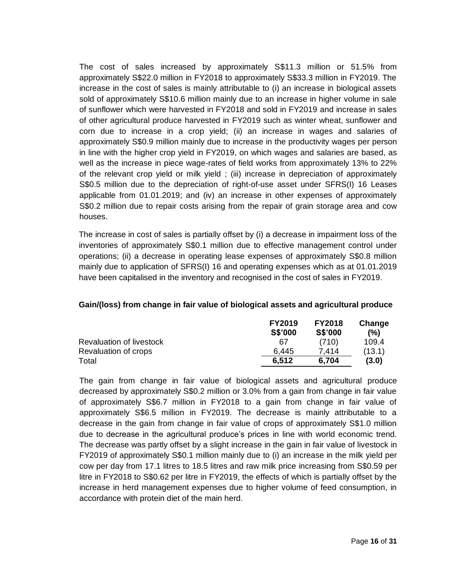The cost of sales increased by approximately S\$11.3 million or 51.5% from approximately S\$22.0 million in FY2018 to approximately S\$33.3 million in FY2019. The increase in the cost of sales is mainly attributable to (i) an increase in biological assets sold of approximately S\$10.6 million mainly due to an increase in higher volume in sale of sunflower which were harvested in FY2018 and sold in FY2019 and increase in sales of other agricultural produce harvested in FY2019 such as winter wheat, sunflower and corn due to increase in a crop yield; (ii) an increase in wages and salaries of approximately S\$0.9 million mainly due to increase in the productivity wages per person in line with the higher crop yield in FY2019, on which wages and salaries are based, as well as the increase in piece wage-rates of field works from approximately 13% to 22% of the relevant crop yield or milk yield ; (iii) increase in depreciation of approximately S\$0.5 million due to the depreciation of right-of-use asset under SFRS(I) 16 Leases applicable from 01.01.2019; and (iv) an increase in other expenses of approximately S\$0.2 million due to repair costs arising from the repair of grain storage area and cow houses.

The increase in cost of sales is partially offset by (i) a decrease in impairment loss of the inventories of approximately S\$0.1 million due to effective management control under operations; (ii) a decrease in operating lease expenses of approximately S\$0.8 million mainly due to application of SFRS(I) 16 and operating expenses which as at 01.01.2019 have been capitalised in the inventory and recognised in the cost of sales in FY2019.

## **Gain/(loss) from change in fair value of biological assets and agricultural produce**

|                          | <b>FY2019</b>  | <b>FY2018</b>  | Change |
|--------------------------|----------------|----------------|--------|
|                          | <b>S\$'000</b> | <b>S\$'000</b> | (%)    |
| Revaluation of livestock | 67             | (710)          | 109.4  |
| Revaluation of crops     | 6.445          | 7.414          | (13.1) |
| Total                    | 6.512          | 6.704          | (3.0)  |

The gain from change in fair value of biological assets and agricultural produce decreased by approximately S\$0.2 million or 3.0% from a gain from change in fair value of approximately S\$6.7 million in FY2018 to a gain from change in fair value of approximately S\$6.5 million in FY2019. The decrease is mainly attributable to a decrease in the gain from change in fair value of crops of approximately S\$1.0 million due to decrease in the agricultural produce's prices in line with world economic trend. The decrease was partly offset by a slight increase in the gain in fair value of livestock in FY2019 of approximately S\$0.1 million mainly due to (i) an increase in the milk yield per cow per day from 17.1 litres to 18.5 litres and raw milk price increasing from S\$0.59 per litre in FY2018 to S\$0.62 per litre in FY2019, the effects of which is partially offset by the increase in herd management expenses due to higher volume of feed consumption, in accordance with protein diet of the main herd.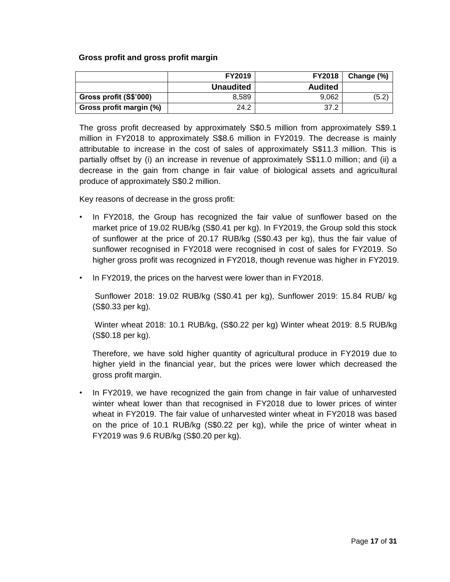## **Gross profit and gross profit margin**

|                         | <b>FY2019</b>    | <b>FY2018</b>  | Change (%) |
|-------------------------|------------------|----------------|------------|
|                         | <b>Unaudited</b> | <b>Audited</b> |            |
| Gross profit (S\$'000)  | 8.589            | 9.062          | (5.2)      |
| Gross profit margin (%) | 24.2             | 37.2           |            |

The gross profit decreased by approximately S\$0.5 million from approximately S\$9.1 million in FY2018 to approximately S\$8.6 million in FY2019. The decrease is mainly attributable to increase in the cost of sales of approximately S\$11.3 million. This is partially offset by (i) an increase in revenue of approximately S\$11.0 million; and (ii) a decrease in the gain from change in fair value of biological assets and agricultural produce of approximately S\$0.2 million.

Key reasons of decrease in the gross profit:

- In FY2018, the Group has recognized the fair value of sunflower based on the market price of 19.02 RUB/kg (S\$0.41 per kg). In FY2019, the Group sold this stock of sunflower at the price of 20.17 RUB/kg (S\$0.43 per kg), thus the fair value of sunflower recognised in FY2018 were recognised in cost of sales for FY2019. So higher gross profit was recognized in FY2018, though revenue was higher in FY2019.
- In FY2019, the prices on the harvest were lower than in FY2018.

Sunflower 2018: 19.02 RUB/kg (S\$0.41 per kg), Sunflower 2019: 15.84 RUB/ kg (S\$0.33 per kg).

Winter wheat 2018: 10.1 RUB/kg, (S\$0.22 per kg) Winter wheat 2019: 8.5 RUB/kg (S\$0.18 per kg).

Therefore, we have sold higher quantity of agricultural produce in FY2019 due to higher yield in the financial year, but the prices were lower which decreased the gross profit margin.

• In FY2019, we have recognized the gain from change in fair value of unharvested winter wheat lower than that recognised in FY2018 due to lower prices of winter wheat in FY2019. The fair value of unharvested winter wheat in FY2018 was based on the price of 10.1 RUB/kg (S\$0.22 per kg), while the price of winter wheat in FY2019 was 9.6 RUB/kg (S\$0.20 per kg).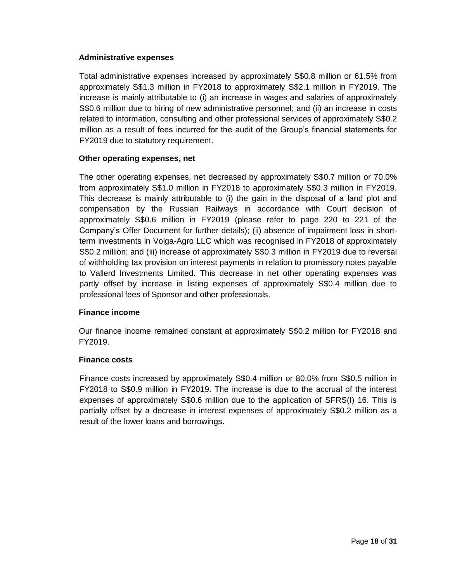## **Administrative expenses**

Total administrative expenses increased by approximately S\$0.8 million or 61.5% from approximately S\$1.3 million in FY2018 to approximately S\$2.1 million in FY2019. The increase is mainly attributable to (i) an increase in wages and salaries of approximately S\$0.6 million due to hiring of new administrative personnel; and (ii) an increase in costs related to information, consulting and other professional services of approximately S\$0.2 million as a result of fees incurred for the audit of the Group's financial statements for FY2019 due to statutory requirement.

#### **Other operating expenses, net**

The other operating expenses, net decreased by approximately S\$0.7 million or 70.0% from approximately S\$1.0 million in FY2018 to approximately S\$0.3 million in FY2019. This decrease is mainly attributable to (i) the gain in the disposal of a land plot and compensation by the Russian Railways in accordance with Court decision of approximately S\$0.6 million in FY2019 (please refer to page 220 to 221 of the Company's Offer Document for further details); (ii) absence of impairment loss in shortterm investments in Volga-Agro LLC which was recognised in FY2018 of approximately S\$0.2 million; and (iii) increase of approximately S\$0.3 million in FY2019 due to reversal of withholding tax provision on interest payments in relation to promissory notes payable to Vallerd Investments Limited. This decrease in net other operating expenses was partly offset by increase in listing expenses of approximately S\$0.4 million due to professional fees of Sponsor and other professionals.

## **Finance income**

Our finance income remained constant at approximately S\$0.2 million for FY2018 and FY2019.

## **Finance costs**

Finance costs increased by approximately S\$0.4 million or 80.0% from S\$0.5 million in FY2018 to S\$0.9 million in FY2019. The increase is due to the accrual of the interest expenses of approximately S\$0.6 million due to the application of SFRS(I) 16. This is partially offset by a decrease in interest expenses of approximately S\$0.2 million as a result of the lower loans and borrowings.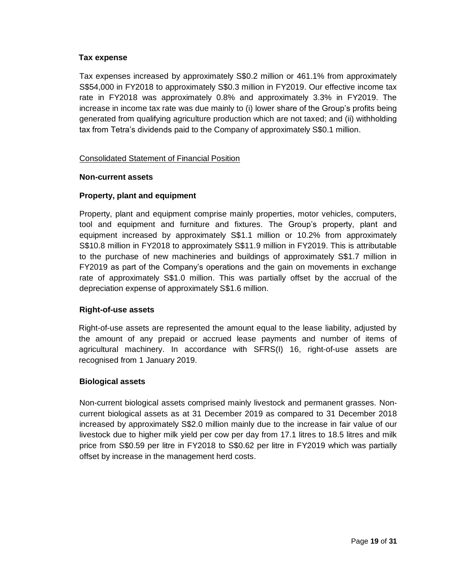## **Tax expense**

Tax expenses increased by approximately S\$0.2 million or 461.1% from approximately S\$54,000 in FY2018 to approximately S\$0.3 million in FY2019. Our effective income tax rate in FY2018 was approximately 0.8% and approximately 3.3% in FY2019. The increase in income tax rate was due mainly to (i) lower share of the Group's profits being generated from qualifying agriculture production which are not taxed; and (ii) withholding tax from Tetra's dividends paid to the Company of approximately S\$0.1 million.

#### Consolidated Statement of Financial Position

#### **Non-current assets**

#### **Property, plant and equipment**

Property, plant and equipment comprise mainly properties, motor vehicles, computers, tool and equipment and furniture and fixtures. The Group's property, plant and equipment increased by approximately S\$1.1 million or 10.2% from approximately S\$10.8 million in FY2018 to approximately S\$11.9 million in FY2019. This is attributable to the purchase of new machineries and buildings of approximately S\$1.7 million in FY2019 as part of the Company's operations and the gain on movements in exchange rate of approximately S\$1.0 million. This was partially offset by the accrual of the depreciation expense of approximately S\$1.6 million.

#### **Right-of-use assets**

Right-of-use assets are represented the amount equal to the lease liability, adjusted by the amount of any prepaid or accrued lease payments and number of items of agricultural machinery. In accordance with SFRS(I) 16, right-of-use assets are recognised from 1 January 2019.

#### **Biological assets**

Non-current biological assets comprised mainly livestock and permanent grasses. Noncurrent biological assets as at 31 December 2019 as compared to 31 December 2018 increased by approximately S\$2.0 million mainly due to the increase in fair value of our livestock due to higher milk yield per cow per day from 17.1 litres to 18.5 litres and milk price from S\$0.59 per litre in FY2018 to S\$0.62 per litre in FY2019 which was partially offset by increase in the management herd costs.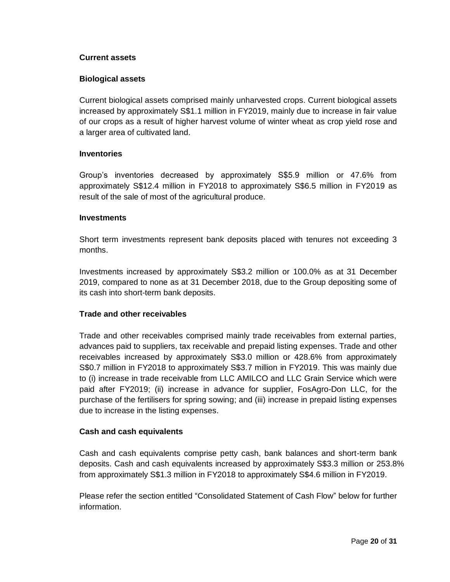#### **Current assets**

## **Biological assets**

Current biological assets comprised mainly unharvested crops. Current biological assets increased by approximately S\$1.1 million in FY2019, mainly due to increase in fair value of our crops as a result of higher harvest volume of winter wheat as crop yield rose and a larger area of cultivated land.

#### **Inventories**

Group's inventories decreased by approximately S\$5.9 million or 47.6% from approximately S\$12.4 million in FY2018 to approximately S\$6.5 million in FY2019 as result of the sale of most of the agricultural produce.

#### **Investments**

Short term investments represent bank deposits placed with tenures not exceeding 3 months.

Investments increased by approximately S\$3.2 million or 100.0% as at 31 December 2019, compared to none as at 31 December 2018, due to the Group depositing some of its cash into short-term bank deposits.

## **Trade and other receivables**

Trade and other receivables comprised mainly trade receivables from external parties, advances paid to suppliers, tax receivable and prepaid listing expenses. Trade and other receivables increased by approximately S\$3.0 million or 428.6% from approximately S\$0.7 million in FY2018 to approximately S\$3.7 million in FY2019. This was mainly due to (i) increase in trade receivable from LLC AMILCO and LLC Grain Service which were paid after FY2019; (ii) increase in advance for supplier, FosAgro-Don LLC, for the purchase of the fertilisers for spring sowing; and (iii) increase in prepaid listing expenses due to increase in the listing expenses.

#### **Cash and cash equivalents**

Cash and cash equivalents comprise petty cash, bank balances and short-term bank deposits. Cash and cash equivalents increased by approximately S\$3.3 million or 253.8% from approximately S\$1.3 million in FY2018 to approximately S\$4.6 million in FY2019.

Please refer the section entitled "Consolidated Statement of Cash Flow" below for further information.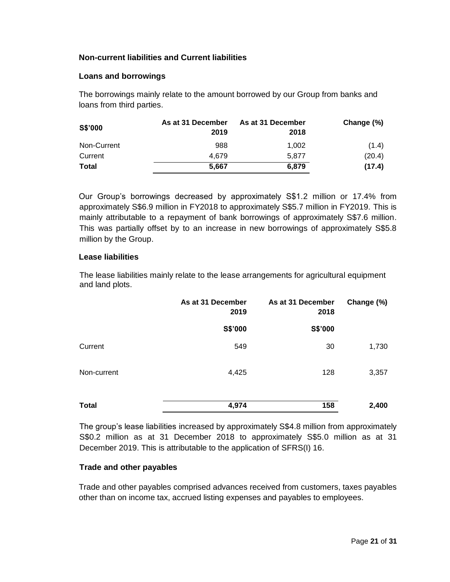## **Non-current liabilities and Current liabilities**

## **Loans and borrowings**

The borrowings mainly relate to the amount borrowed by our Group from banks and loans from third parties.

| <b>S\$'000</b> | As at 31 December<br>2019 | As at 31 December<br>2018 | Change (%) |
|----------------|---------------------------|---------------------------|------------|
| Non-Current    | 988                       | 1.002                     | (1.4)      |
| Current        | 4.679                     | 5.877                     | (20.4)     |
| <b>Total</b>   | 5.667                     | 6.879                     | (17.4)     |

Our Group's borrowings decreased by approximately S\$1.2 million or 17.4% from approximately S\$6.9 million in FY2018 to approximately S\$5.7 million in FY2019. This is mainly attributable to a repayment of bank borrowings of approximately S\$7.6 million. This was partially offset by to an increase in new borrowings of approximately S\$5.8 million by the Group.

#### **Lease liabilities**

The lease liabilities mainly relate to the lease arrangements for agricultural equipment and land plots.

|              | As at 31 December<br>2019 | As at 31 December<br>2018 | Change (%) |
|--------------|---------------------------|---------------------------|------------|
|              | S\$'000                   | S\$'000                   |            |
| Current      | 549                       | 30                        | 1,730      |
| Non-current  | 4,425                     | 128                       | 3,357      |
| <b>Total</b> | 4,974                     | 158                       | 2,400      |

The group's lease liabilities increased by approximately S\$4.8 million from approximately S\$0.2 million as at 31 December 2018 to approximately S\$5.0 million as at 31 December 2019. This is attributable to the application of SFRS(I) 16.

## **Trade and other payables**

Trade and other payables comprised advances received from customers, taxes payables other than on income tax, accrued listing expenses and payables to employees.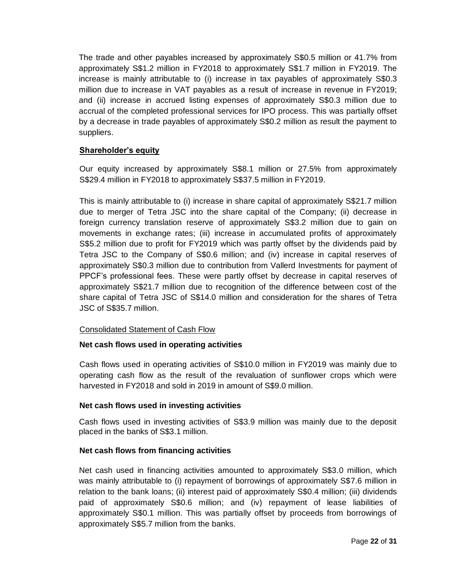The trade and other payables increased by approximately S\$0.5 million or 41.7% from approximately S\$1.2 million in FY2018 to approximately S\$1.7 million in FY2019. The increase is mainly attributable to (i) increase in tax payables of approximately S\$0.3 million due to increase in VAT payables as a result of increase in revenue in FY2019; and (ii) increase in accrued listing expenses of approximately S\$0.3 million due to accrual of the completed professional services for IPO process. This was partially offset by a decrease in trade payables of approximately S\$0.2 million as result the payment to suppliers.

## **Shareholder's equity**

Our equity increased by approximately S\$8.1 million or 27.5% from approximately S\$29.4 million in FY2018 to approximately S\$37.5 million in FY2019.

This is mainly attributable to (i) increase in share capital of approximately S\$21.7 million due to merger of Tetra JSC into the share capital of the Company; (ii) decrease in foreign currency translation reserve of approximately S\$3.2 million due to gain on movements in exchange rates; (iii) increase in accumulated profits of approximately S\$5.2 million due to profit for FY2019 which was partly offset by the dividends paid by Tetra JSC to the Company of S\$0.6 million; and (iv) increase in capital reserves of approximately S\$0.3 million due to contribution from Vallerd Investments for payment of PPCF's professional fees. These were partly offset by decrease in capital reserves of approximately S\$21.7 million due to recognition of the difference between cost of the share capital of Tetra JSC of S\$14.0 million and consideration for the shares of Tetra JSC of S\$35.7 million.

## Consolidated Statement of Cash Flow

## **Net cash flows used in operating activities**

Cash flows used in operating activities of S\$10.0 million in FY2019 was mainly due to operating cash flow as the result of the revaluation of sunflower crops which were harvested in FY2018 and sold in 2019 in amount of S\$9.0 million.

## **Net cash flows used in investing activities**

Cash flows used in investing activities of S\$3.9 million was mainly due to the deposit placed in the banks of S\$3.1 million.

## **Net cash flows from financing activities**

Net cash used in financing activities amounted to approximately S\$3.0 million, which was mainly attributable to (i) repayment of borrowings of approximately S\$7.6 million in relation to the bank loans; (ii) interest paid of approximately S\$0.4 million; (iii) dividends paid of approximately S\$0.6 million; and (iv) repayment of lease liabilities of approximately S\$0.1 million. This was partially offset by proceeds from borrowings of approximately S\$5.7 million from the banks.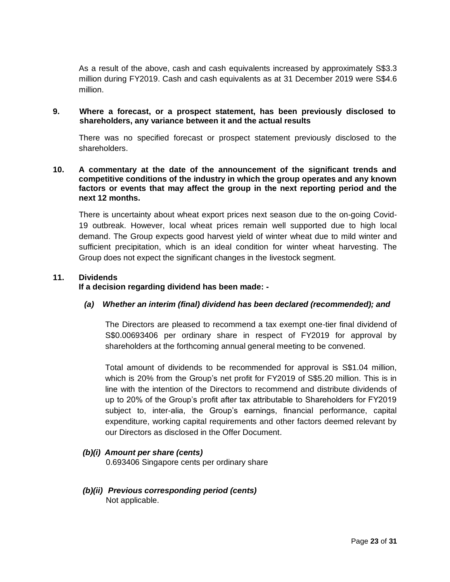As a result of the above, cash and cash equivalents increased by approximately S\$3.3 million during FY2019. Cash and cash equivalents as at 31 December 2019 were S\$4.6 million.

#### **9. Where a forecast, or a prospect statement, has been previously disclosed to shareholders, any variance between it and the actual results**

There was no specified forecast or prospect statement previously disclosed to the shareholders.

## **10. A commentary at the date of the announcement of the significant trends and competitive conditions of the industry in which the group operates and any known factors or events that may affect the group in the next reporting period and the next 12 months.**

There is uncertainty about wheat export prices next season due to the on-going Covid-19 outbreak. However, local wheat prices remain well supported due to high local demand. The Group expects good harvest yield of winter wheat due to mild winter and sufficient precipitation, which is an ideal condition for winter wheat harvesting. The Group does not expect the significant changes in the livestock segment.

#### **11. Dividends**

#### **If a decision regarding dividend has been made: -**

## *(a) Whether an interim (final) dividend has been declared (recommended); and*

The Directors are pleased to recommend a tax exempt one-tier final dividend of S\$0.00693406 per ordinary share in respect of FY2019 for approval by shareholders at the forthcoming annual general meeting to be convened.

Total amount of dividends to be recommended for approval is S\$1.04 million, which is 20% from the Group's net profit for FY2019 of S\$5.20 million. This is in line with the intention of the Directors to recommend and distribute dividends of up to 20% of the Group's profit after tax attributable to Shareholders for FY2019 subject to, inter-alia, the Group's earnings, financial performance, capital expenditure, working capital requirements and other factors deemed relevant by our Directors as disclosed in the Offer Document.

## *(b)(i) Amount per share (cents)*

0.693406 Singapore cents per ordinary share

#### *(b)(ii) Previous corresponding period (cents)* Not applicable.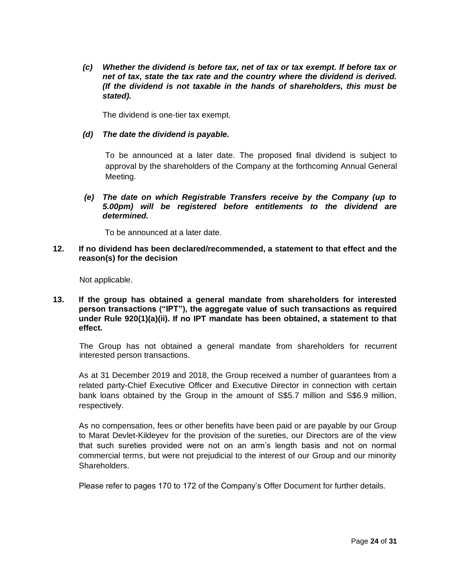*(c) Whether the dividend is before tax, net of tax or tax exempt. If before tax or net of tax, state the tax rate and the country where the dividend is derived. (If the dividend is not taxable in the hands of shareholders, this must be stated).*

The dividend is one-tier tax exempt.

#### *(d) The date the dividend is payable.*

To be announced at a later date. The proposed final dividend is subject to approval by the shareholders of the Company at the forthcoming Annual General Meeting.

*(e) The date on which Registrable Transfers receive by the Company (up to 5.00pm) will be registered before entitlements to the dividend are determined.*

To be announced at a later date.

**12. If no dividend has been declared/recommended, a statement to that effect and the reason(s) for the decision**

Not applicable.

**13. If the group has obtained a general mandate from shareholders for interested person transactions ("IPT"), the aggregate value of such transactions as required under Rule 920(1)(a)(ii). If no IPT mandate has been obtained, a statement to that effect.**

The Group has not obtained a general mandate from shareholders for recurrent interested person transactions.

As at 31 December 2019 and 2018, the Group received a number of guarantees from a related party-Chief Executive Officer and Executive Director in connection with certain bank loans obtained by the Group in the amount of S\$5.7 million and S\$6.9 million, respectively.

As no compensation, fees or other benefits have been paid or are payable by our Group to Marat Devlet-Kildeyev for the provision of the sureties, our Directors are of the view that such sureties provided were not on an arm's length basis and not on normal commercial terms, but were not prejudicial to the interest of our Group and our minority Shareholders.

Please refer to pages 170 to 172 of the Company's Offer Document for further details.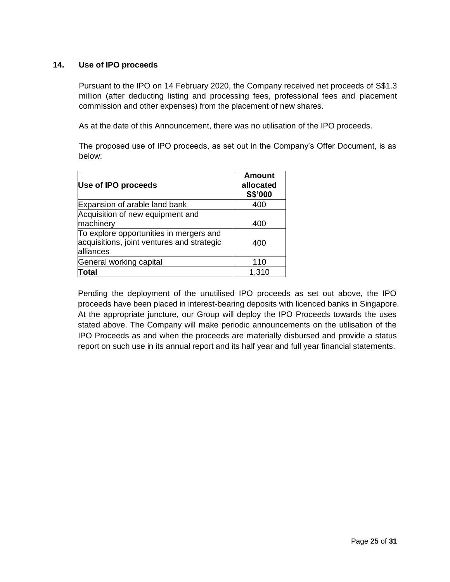## **14. Use of IPO proceeds**

Pursuant to the IPO on 14 February 2020, the Company received net proceeds of S\$1.3 million (after deducting listing and processing fees, professional fees and placement commission and other expenses) from the placement of new shares.

As at the date of this Announcement, there was no utilisation of the IPO proceeds.

The proposed use of IPO proceeds, as set out in the Company's Offer Document, is as below:

| Use of IPO proceeds                                                                                | <b>Amount</b><br>allocated |
|----------------------------------------------------------------------------------------------------|----------------------------|
|                                                                                                    | S\$'000                    |
| Expansion of arable land bank                                                                      | 400                        |
| Acquisition of new equipment and<br>machinery                                                      | 400                        |
| To explore opportunities in mergers and<br>acquisitions, joint ventures and strategic<br>alliances | 400                        |
| General working capital                                                                            | 110                        |
| Total                                                                                              | 1,310                      |

Pending the deployment of the unutilised IPO proceeds as set out above, the IPO proceeds have been placed in interest-bearing deposits with licenced banks in Singapore. At the appropriate juncture, our Group will deploy the IPO Proceeds towards the uses stated above. The Company will make periodic announcements on the utilisation of the IPO Proceeds as and when the proceeds are materially disbursed and provide a status report on such use in its annual report and its half year and full year financial statements.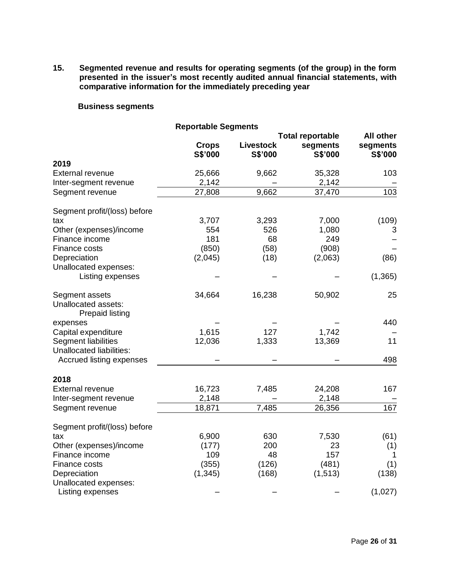**15. Segmented revenue and results for operating segments (of the group) in the form presented in the issuer's most recently audited annual financial statements, with comparative information for the immediately preceding year**

## **Business segments**

|                                               | <b>Reportable Segments</b> |                  |          |           |
|-----------------------------------------------|----------------------------|------------------|----------|-----------|
|                                               | <b>Total reportable</b>    |                  |          | All other |
|                                               | <b>Crops</b>               | <b>Livestock</b> | segments | segments  |
|                                               | S\$'000                    | S\$'000          | S\$'000  | S\$'000   |
| 2019                                          |                            |                  |          |           |
| <b>External revenue</b>                       | 25,666                     | 9,662            | 35,328   | 103       |
| Inter-segment revenue                         | 2,142                      |                  | 2,142    |           |
| Segment revenue                               | 27,808                     | 9,662            | 37,470   | 103       |
| Segment profit/(loss) before                  |                            |                  |          |           |
| tax                                           | 3,707                      | 3,293            | 7,000    | (109)     |
| Other (expenses)/income                       | 554                        | 526              | 1,080    | 3         |
| Finance income                                | 181                        | 68               | 249      |           |
| Finance costs                                 | (850)                      | (58)             | (908)    |           |
| Depreciation                                  | (2,045)                    | (18)             | (2,063)  | (86)      |
| Unallocated expenses:                         |                            |                  |          |           |
| Listing expenses                              |                            |                  |          | (1, 365)  |
| Segment assets                                | 34,664                     | 16,238           | 50,902   | 25        |
| Unallocated assets:<br><b>Prepaid listing</b> |                            |                  |          |           |
| expenses                                      |                            |                  |          | 440       |
| Capital expenditure                           | 1,615                      | 127              | 1,742    |           |
| Segment liabilities                           | 12,036                     | 1,333            | 13,369   | 11        |
| <b>Unallocated liabilities:</b>               |                            |                  |          |           |
| Accrued listing expenses                      |                            |                  |          | 498       |
| 2018                                          |                            |                  |          |           |
| <b>External revenue</b>                       | 16,723                     | 7,485            | 24,208   | 167       |
| Inter-segment revenue                         | 2,148                      |                  | 2,148    |           |
| Segment revenue                               | 18,871                     | 7,485            | 26,356   | 167       |
| Segment profit/(loss) before                  |                            |                  |          |           |
| tax                                           | 6,900                      | 630              | 7,530    | (61)      |
| Other (expenses)/income                       | (177)                      | 200              | 23       | (1)       |
| Finance income                                | 109                        | 48               | 157      | 1         |
| Finance costs                                 | (355)                      | (126)            | (481)    | (1)       |
| Depreciation                                  | (1, 345)                   | (168)            | (1, 513) | (138)     |
| Unallocated expenses:                         |                            |                  |          |           |
| Listing expenses                              |                            |                  |          | (1,027)   |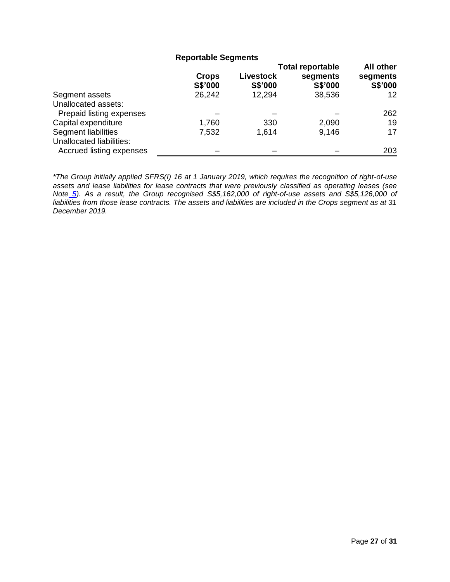## **Reportable Segments**

|                                                      |                         |                             | <b>Total reportable</b> |                     |
|------------------------------------------------------|-------------------------|-----------------------------|-------------------------|---------------------|
|                                                      | <b>Crops</b><br>S\$'000 | <b>Livestock</b><br>S\$'000 | segments<br>S\$'000     | segments<br>S\$'000 |
| Segment assets                                       | 26,242                  | 12,294                      | 38,536                  | 12                  |
| Unallocated assets:                                  |                         |                             |                         |                     |
| Prepaid listing expenses                             |                         |                             |                         | 262                 |
| Capital expenditure                                  | 1,760                   | 330                         | 2,090                   | 19                  |
| Segment liabilities                                  | 7,532                   | 1,614                       | 9,146                   | 17                  |
| Unallocated liabilities:<br>Accrued listing expenses |                         |                             |                         | 203                 |

*\*The Group initially applied SFRS(I) 16 at 1 January 2019, which requires the recognition of right-of-use assets and lease liabilities for lease contracts that were previously classified as operating leases (see Note 5). As a result, the Group recognised S\$5,162,000 of right-of-use assets and S\$5,126,000 of liabilities from those lease contracts. The assets and liabilities are included in the Crops segment as at 31 December 2019.*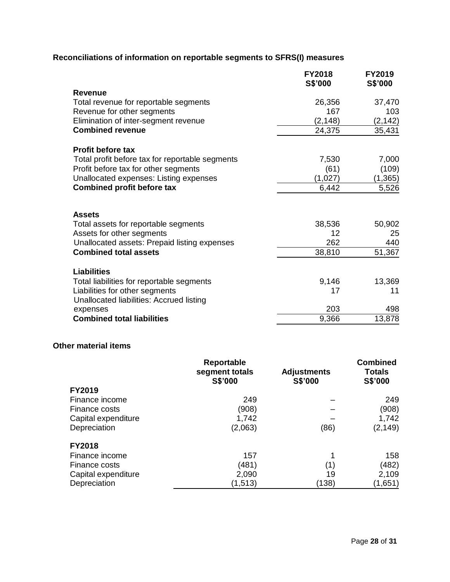## **Reconciliations of information on reportable segments to SFRS(I) measures**

|                                                 | <b>FY2018</b><br>S\$'000 | <b>FY2019</b><br>S\$'000 |
|-------------------------------------------------|--------------------------|--------------------------|
| <b>Revenue</b>                                  |                          |                          |
| Total revenue for reportable segments           | 26,356                   | 37,470                   |
| Revenue for other segments                      | 167                      | 103                      |
| Elimination of inter-segment revenue            | (2, 148)                 | (2, 142)                 |
| <b>Combined revenue</b>                         | 24,375                   | 35,431                   |
| <b>Profit before tax</b>                        |                          |                          |
| Total profit before tax for reportable segments | 7,530                    | 7,000                    |
| Profit before tax for other segments            | (61)                     | (109)                    |
| Unallocated expenses: Listing expenses          | (1,027)                  | (1, 365)                 |
| <b>Combined profit before tax</b>               | 6,442                    | 5,526                    |
| <b>Assets</b>                                   |                          |                          |
| Total assets for reportable segments            | 38,536                   | 50,902                   |
| Assets for other segments                       | 12                       | 25                       |
| Unallocated assets: Prepaid listing expenses    | 262                      | 440                      |
| <b>Combined total assets</b>                    | 38,810                   | 51,367                   |
| <b>Liabilities</b>                              |                          |                          |
| Total liabilities for reportable segments       | 9,146                    | 13,369                   |
| Liabilities for other segments                  | 17                       | 11                       |
| Unallocated liabilities: Accrued listing        |                          |                          |
| expenses                                        | 203                      | 498                      |
| <b>Combined total liabilities</b>               | 9,366                    | 13,878                   |
|                                                 |                          |                          |

## **Other material items**

|                     | Reportable<br>segment totals<br>S\$'000 | <b>Adjustments</b><br>S\$'000 | <b>Combined</b><br><b>Totals</b><br>S\$'000 |
|---------------------|-----------------------------------------|-------------------------------|---------------------------------------------|
| FY2019              |                                         |                               |                                             |
| Finance income      | 249                                     |                               | 249                                         |
| Finance costs       | (908)                                   |                               | (908)                                       |
| Capital expenditure | 1,742                                   |                               | 1,742                                       |
| Depreciation        | (2,063)                                 | (86)                          | (2, 149)                                    |
| <b>FY2018</b>       |                                         |                               |                                             |
| Finance income      | 157                                     |                               | 158                                         |
| Finance costs       | (481)                                   | (1)                           | (482)                                       |
| Capital expenditure | 2,090                                   | 19                            | 2,109                                       |
| Depreciation        | (1, 513)                                | (138)                         | (1,651)                                     |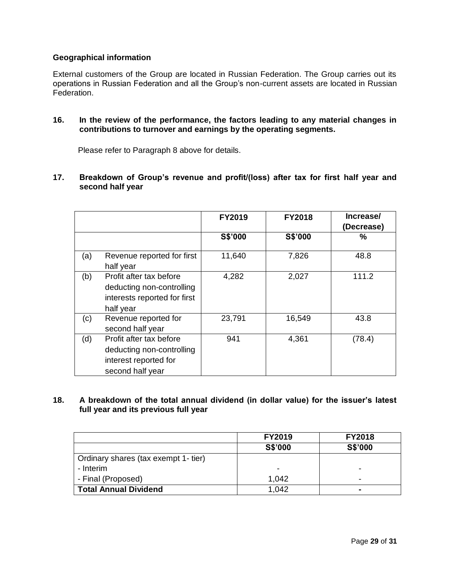## **Geographical information**

External customers of the Group are located in Russian Federation. The Group carries out its operations in Russian Federation and all the Group's non-current assets are located in Russian Federation.

**16. In the review of the performance, the factors leading to any material changes in contributions to turnover and earnings by the operating segments.**

Please refer to Paragraph 8 above for details.

**17. Breakdown of Group's revenue and profit/(loss) after tax for first half year and second half year**

|     |                                                                                                   | <b>FY2019</b> | <b>FY2018</b> | Increase/<br>(Decrease) |
|-----|---------------------------------------------------------------------------------------------------|---------------|---------------|-------------------------|
|     |                                                                                                   | S\$'000       | S\$'000       | %                       |
| (a) | Revenue reported for first<br>half year                                                           | 11,640        | 7,826         | 48.8                    |
| (b) | Profit after tax before<br>deducting non-controlling<br>interests reported for first<br>half year | 4,282         | 2,027         | 111.2                   |
| (c) | Revenue reported for<br>second half year                                                          | 23,791        | 16,549        | 43.8                    |
| (d) | Profit after tax before<br>deducting non-controlling<br>interest reported for<br>second half year | 941           | 4,361         | (78.4)                  |

## **18. A breakdown of the total annual dividend (in dollar value) for the issuer's latest full year and its previous full year**

|                                      | <b>FY2019</b> | <b>FY2018</b>  |
|--------------------------------------|---------------|----------------|
|                                      | S\$'000       | S\$'000        |
| Ordinary shares (tax exempt 1- tier) |               |                |
| - Interim                            | -             | -              |
| - Final (Proposed)                   | 1,042         | -              |
| <b>Total Annual Dividend</b>         | 1,042         | $\blacksquare$ |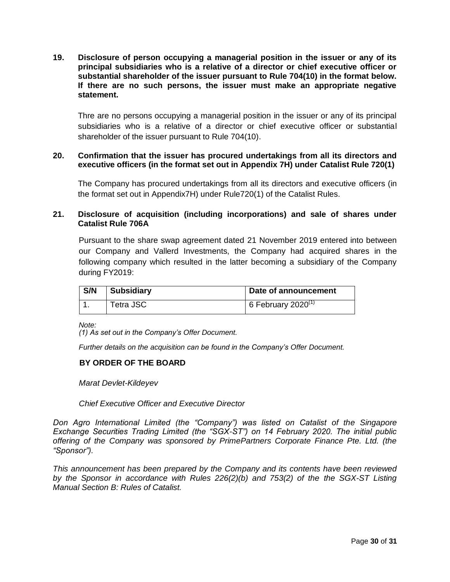**19. Disclosure of person occupying a managerial position in the issuer or any of its principal subsidiaries who is a relative of a director or chief executive officer or substantial shareholder of the issuer pursuant to Rule 704(10) in the format below. If there are no such persons, the issuer must make an appropriate negative statement.**

Thre are no persons occupying a managerial position in the issuer or any of its principal subsidiaries who is a relative of a director or chief executive officer or substantial shareholder of the issuer pursuant to Rule 704(10).

## **20. Confirmation that the issuer has procured undertakings from all its directors and executive officers (in the format set out in Appendix 7H) under Catalist Rule 720(1)**

The Company has procured undertakings from all its directors and executive officers (in the format set out in Appendix7H) under Rule720(1) of the Catalist Rules.

## **21. Disclosure of acquisition (including incorporations) and sale of shares under Catalist Rule 706A**

Pursuant to the share swap agreement dated 21 November 2019 entered into between our Company and Vallerd Investments, the Company had acquired shares in the following company which resulted in the latter becoming a subsidiary of the Company during FY2019:

| S/N | <b>Subsidiary</b> | Date of announcement  |
|-----|-------------------|-----------------------|
|     | Tetra JSC         | 6 February 2020 $(1)$ |

*Note:*

*(1) As set out in the Company's Offer Document.*

*Further details on the acquisition can be found in the Company's Offer Document.* 

#### **BY ORDER OF THE BOARD**

*Marat Devlet-Kildeyev*

*Chief Executive Officer and Executive Director*

*Don Agro International Limited (the "Company") was listed on Catalist of the Singapore Exchange Securities Trading Limited (the "SGX-ST") on 14 February 2020. The initial public offering of the Company was sponsored by PrimePartners Corporate Finance Pte. Ltd. (the "Sponsor").*

*This announcement has been prepared by the Company and its contents have been reviewed by the Sponsor in accordance with Rules 226(2)(b) and 753(2) of the the SGX-ST Listing Manual Section B: Rules of Catalist.*